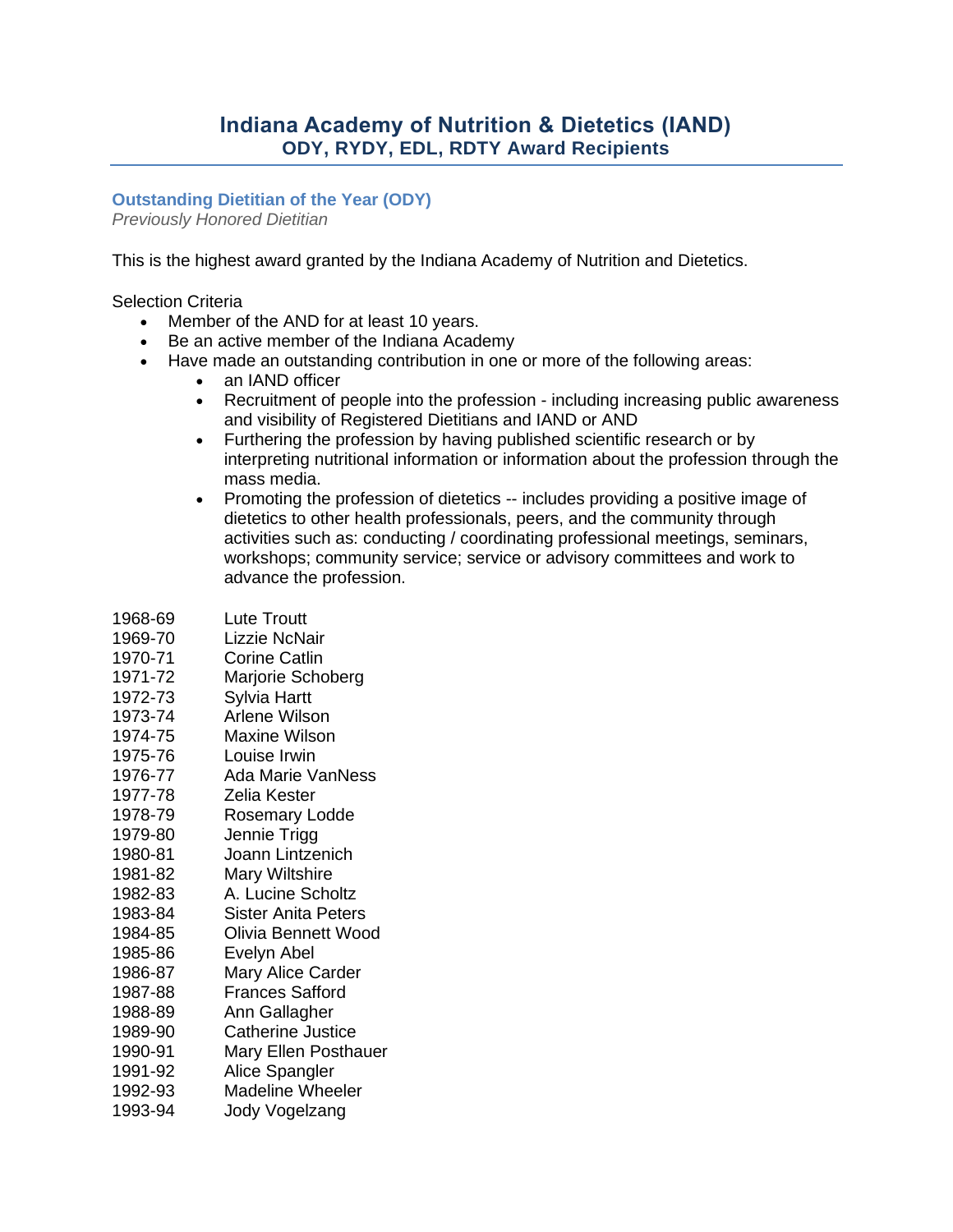# **Indiana Academy of Nutrition & Dietetics (IAND) ODY, RYDY, EDL, RDTY Award Recipients**

### **Outstanding Dietitian of the Year (ODY)**

*Previously Honored Dietitian*

This is the highest award granted by the Indiana Academy of Nutrition and Dietetics.

#### Selection Criteria

- Member of the AND for at least 10 years.
- Be an active member of the Indiana Academy
- Have made an outstanding contribution in one or more of the following areas:
	- an IAND officer
	- Recruitment of people into the profession including increasing public awareness and visibility of Registered Dietitians and IAND or AND
	- Furthering the profession by having published scientific research or by interpreting nutritional information or information about the profession through the mass media.
	- Promoting the profession of dietetics -- includes providing a positive image of dietetics to other health professionals, peers, and the community through activities such as: conducting / coordinating professional meetings, seminars, workshops; community service; service or advisory committees and work to advance the profession.

| <b>Lute Troutt</b>       |
|--------------------------|
| <b>Lizzie NcNair</b>     |
| <b>Corine Catlin</b>     |
| Marjorie Schoberg        |
|                          |
| Sylvia Hartt             |
| <b>Arlene Wilson</b>     |
| <b>Maxine Wilson</b>     |
| Louise Irwin             |
| <b>Ada Marie VanNess</b> |
| Zelia Kester             |
| Rosemary Lodde           |
| Jennie Trigg             |
| Joann Lintzenich         |
| <b>Mary Wiltshire</b>    |
| A. Lucine Scholtz        |
| Sister Anita Peters      |
| Olivia Bennett Wood      |
| Evelyn Abel              |
| <b>Mary Alice Carder</b> |
| <b>Frances Safford</b>   |
| Ann Gallagher            |
| <b>Catherine Justice</b> |
| Mary Ellen Posthauer     |
| Alice Spangler           |
| <b>Madeline Wheeler</b>  |
| Jody Vogelzang           |
|                          |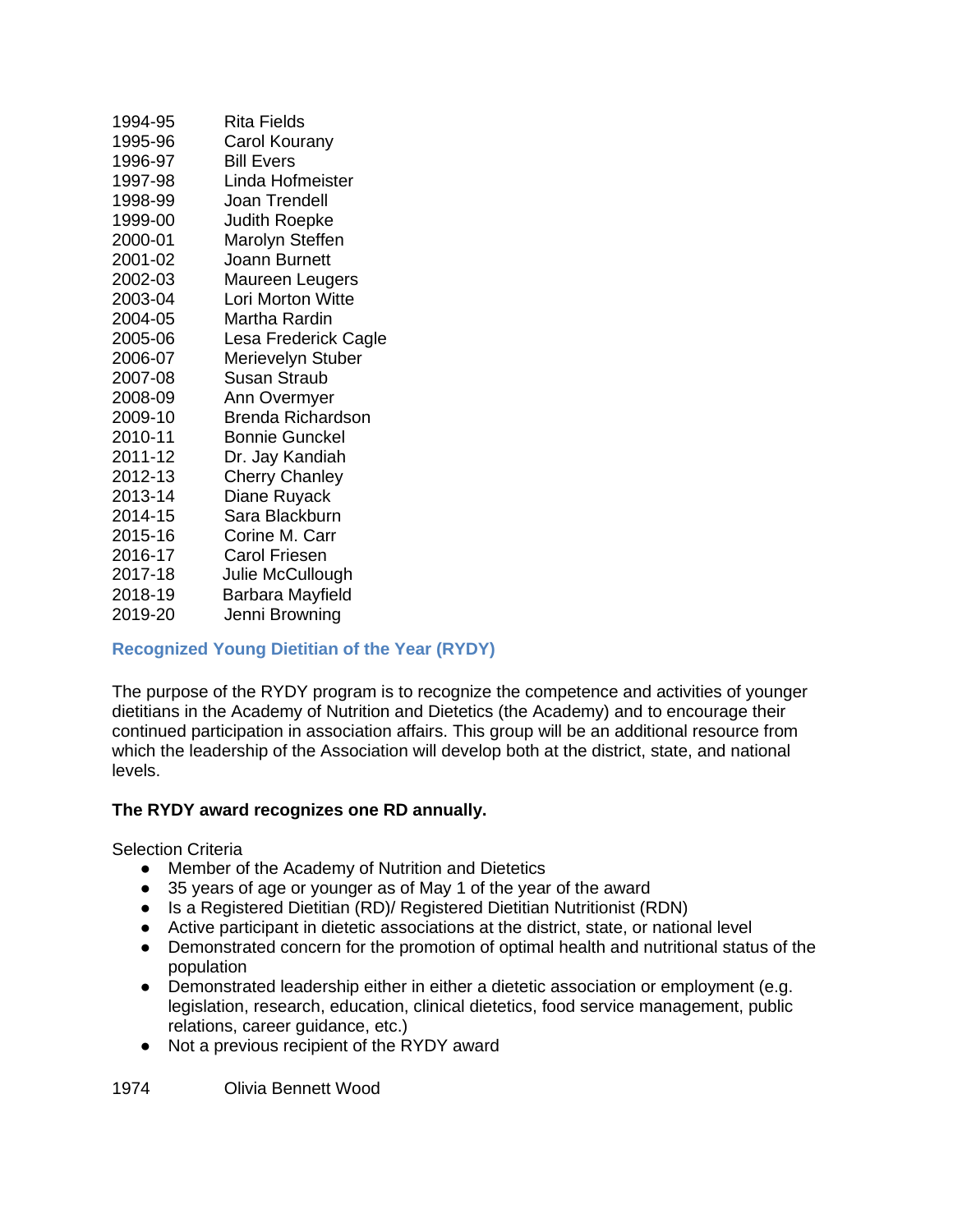| 1994-95 | Rita Fields              |
|---------|--------------------------|
| 1995-96 | Carol Kourany            |
| 1996-97 | <b>Bill Evers</b>        |
| 1997-98 | Linda Hofmeister         |
| 1998-99 | Joan Trendell            |
| 1999-00 | <b>Judith Roepke</b>     |
| 2000-01 | Marolyn Steffen          |
| 2001-02 | Joann Burnett            |
| 2002-03 | Maureen Leugers          |
| 2003-04 | <b>Lori Morton Witte</b> |
| 2004-05 | Martha Rardin            |
| 2005-06 | Lesa Frederick Cagle     |
| 2006-07 | Merievelyn Stuber        |
| 2007-08 | <b>Susan Straub</b>      |
| 2008-09 | Ann Overmyer             |
| 2009-10 | Brenda Richardson        |
| 2010-11 | Bonnie Gunckel           |
| 2011-12 | Dr. Jay Kandiah          |
| 2012-13 | <b>Cherry Chanley</b>    |
| 2013-14 | Diane Ruyack             |
| 2014-15 | Sara Blackburn           |
| 2015-16 | Corine M. Carr           |
| 2016-17 | <b>Carol Friesen</b>     |
| 2017-18 | Julie McCullough         |
| 2018-19 | Barbara Mayfield         |
| 2019-20 | Jenni Browning           |
|         |                          |

### **Recognized Young Dietitian of the Year (RYDY)**

The purpose of the RYDY program is to recognize the competence and activities of younger dietitians in the Academy of Nutrition and Dietetics (the Academy) and to encourage their continued participation in association affairs. This group will be an additional resource from which the leadership of the Association will develop both at the district, state, and national levels.

### **The RYDY award recognizes one RD annually.**

Selection Criteria

- Member of the Academy of Nutrition and Dietetics
- 35 years of age or younger as of May 1 of the year of the award
- Is a Registered Dietitian (RD)/ Registered Dietitian Nutritionist (RDN)
- Active participant in dietetic associations at the district, state, or national level
- Demonstrated concern for the promotion of optimal health and nutritional status of the population
- Demonstrated leadership either in either a dietetic association or employment (e.g. legislation, research, education, clinical dietetics, food service management, public relations, career guidance, etc.)
- Not a previous recipient of the RYDY award

1974 Olivia Bennett Wood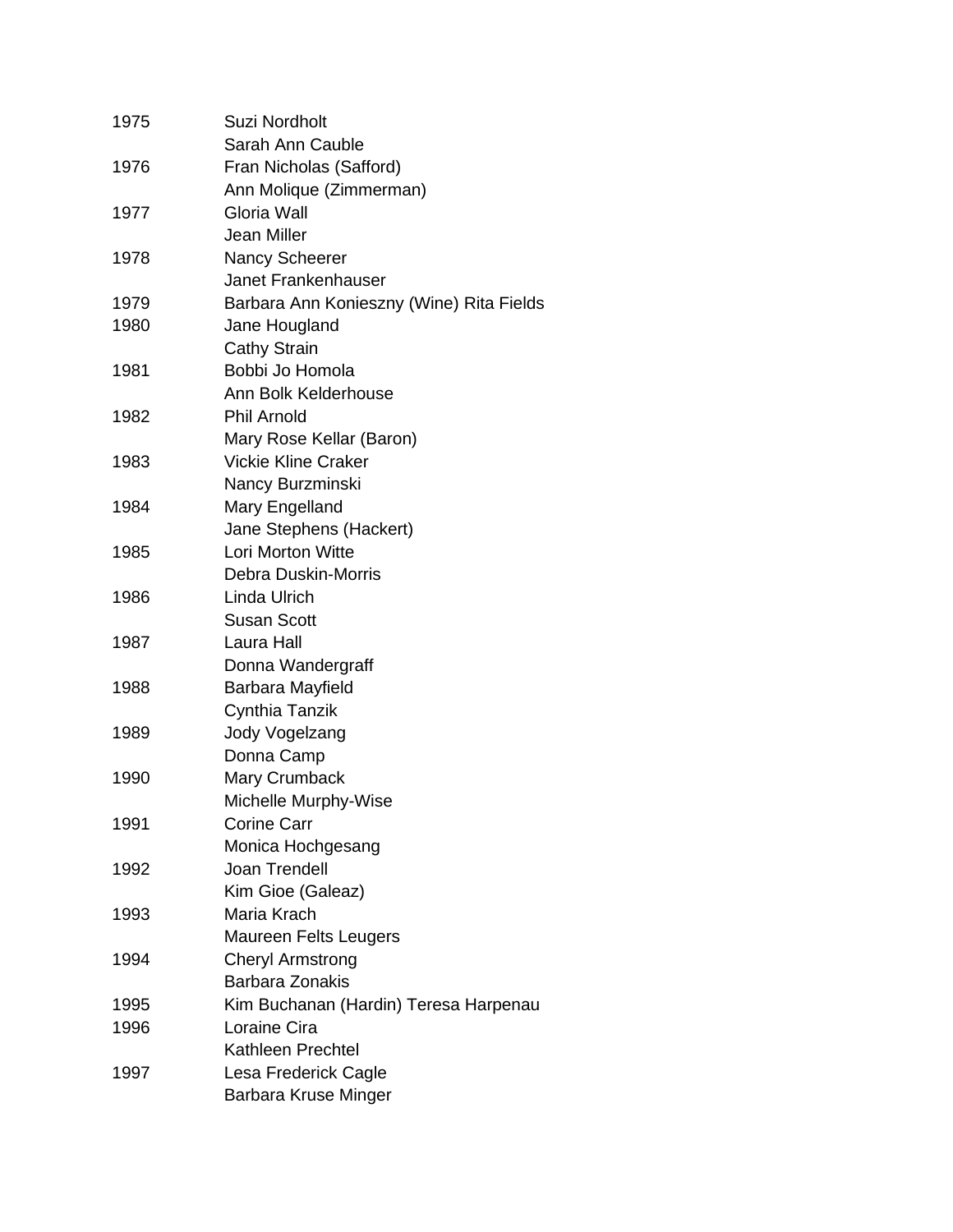| 1975 | <b>Suzi Nordholt</b>                     |
|------|------------------------------------------|
|      | Sarah Ann Cauble                         |
| 1976 | Fran Nicholas (Safford)                  |
|      | Ann Molique (Zimmerman)                  |
| 1977 | Gloria Wall                              |
|      | Jean Miller                              |
| 1978 | <b>Nancy Scheerer</b>                    |
|      | Janet Frankenhauser                      |
| 1979 | Barbara Ann Konieszny (Wine) Rita Fields |
| 1980 | Jane Hougland                            |
|      | <b>Cathy Strain</b>                      |
| 1981 | Bobbi Jo Homola                          |
|      | Ann Bolk Kelderhouse                     |
| 1982 | <b>Phil Arnold</b>                       |
|      | Mary Rose Kellar (Baron)                 |
| 1983 | <b>Vickie Kline Craker</b>               |
|      | Nancy Burzminski                         |
| 1984 | Mary Engelland                           |
|      | Jane Stephens (Hackert)                  |
| 1985 | <b>Lori Morton Witte</b>                 |
|      | <b>Debra Duskin-Morris</b>               |
| 1986 | Linda Ulrich                             |
|      | <b>Susan Scott</b>                       |
| 1987 | Laura Hall                               |
|      | Donna Wandergraff                        |
| 1988 | Barbara Mayfield                         |
|      | Cynthia Tanzik                           |
| 1989 | Jody Vogelzang                           |
|      | Donna Camp                               |
| 1990 | Mary Crumback                            |
|      | Michelle Murphy-Wise                     |
| 1991 | <b>Corine Carr</b>                       |
|      | Monica Hochgesang                        |
| 1992 | Joan Trendell                            |
|      | Kim Gioe (Galeaz)                        |
| 1993 | Maria Krach                              |
|      | Maureen Felts Leugers                    |
| 1994 | <b>Cheryl Armstrong</b>                  |
|      | <b>Barbara Zonakis</b>                   |
| 1995 | Kim Buchanan (Hardin) Teresa Harpenau    |
| 1996 | Loraine Cira                             |
|      | <b>Kathleen Prechtel</b>                 |
| 1997 | Lesa Frederick Cagle                     |
|      | Barbara Kruse Minger                     |
|      |                                          |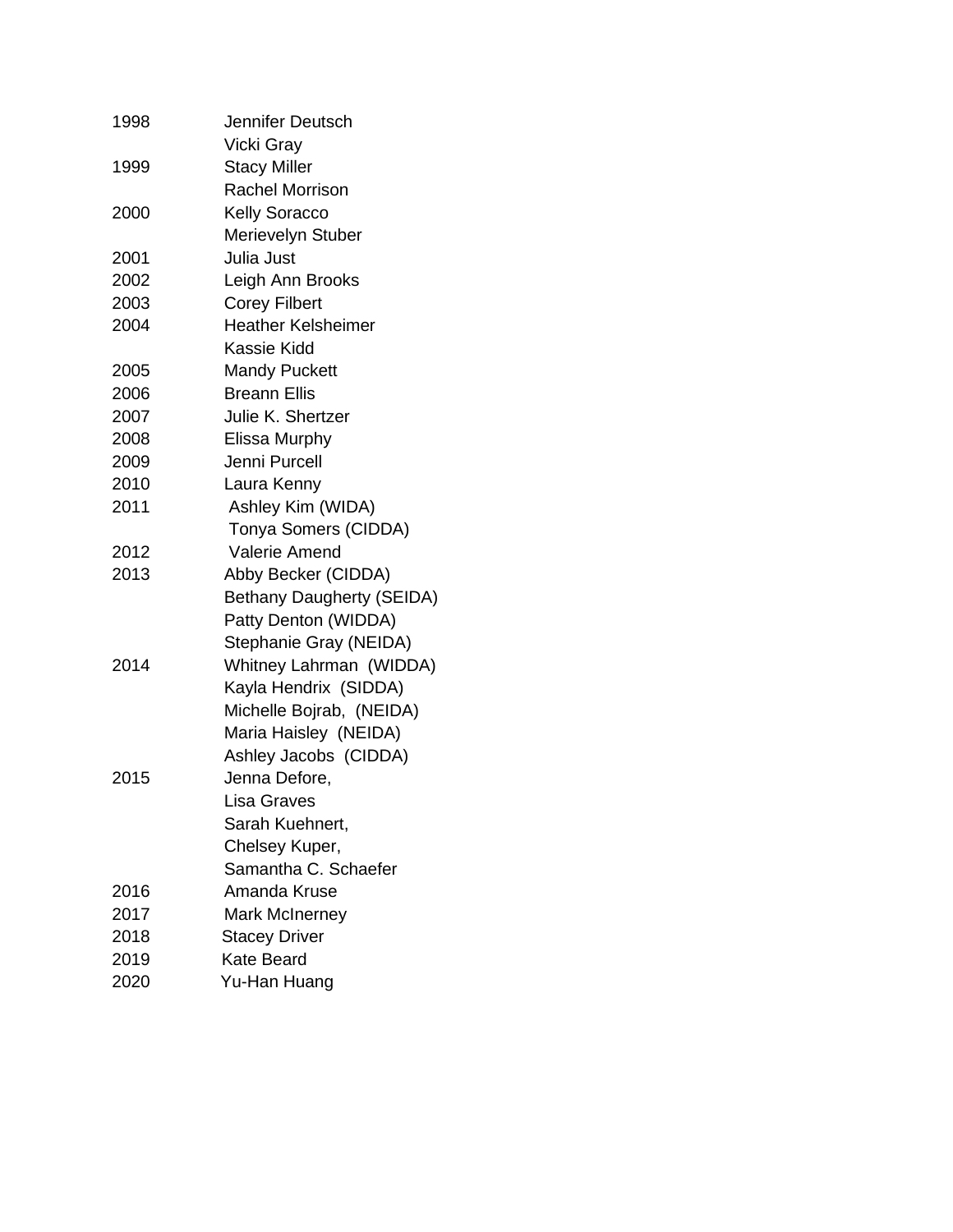| 1998 | Jennifer Deutsch          |
|------|---------------------------|
|      | Vicki Gray                |
| 1999 | <b>Stacy Miller</b>       |
|      | <b>Rachel Morrison</b>    |
| 2000 | <b>Kelly Soracco</b>      |
|      | Merievelyn Stuber         |
| 2001 | Julia Just                |
| 2002 | Leigh Ann Brooks          |
| 2003 | <b>Corey Filbert</b>      |
| 2004 | <b>Heather Kelsheimer</b> |
|      | Kassie Kidd               |
| 2005 | <b>Mandy Puckett</b>      |
| 2006 | <b>Breann Ellis</b>       |
| 2007 | Julie K. Shertzer         |
| 2008 | Elissa Murphy             |
| 2009 | Jenni Purcell             |
| 2010 | Laura Kenny               |
| 2011 | Ashley Kim (WIDA)         |
|      | Tonya Somers (CIDDA)      |
| 2012 | <b>Valerie Amend</b>      |
| 2013 | Abby Becker (CIDDA)       |
|      | Bethany Daugherty (SEIDA) |
|      | Patty Denton (WIDDA)      |
|      | Stephanie Gray (NEIDA)    |
| 2014 | Whitney Lahrman (WIDDA)   |
|      | Kayla Hendrix (SIDDA)     |
|      | Michelle Bojrab, (NEIDA)  |
|      | Maria Haisley (NEIDA)     |
|      | Ashley Jacobs (CIDDA)     |
| 2015 | Jenna Defore,             |
|      | Lisa Graves               |
|      | Sarah Kuehnert,           |
|      | Chelsey Kuper,            |
|      | Samantha C. Schaefer      |
| 2016 | Amanda Kruse              |
| 2017 | <b>Mark McInerney</b>     |
| 2018 | <b>Stacey Driver</b>      |
| 2019 | <b>Kate Beard</b>         |
| 2020 | Yu-Han Huang              |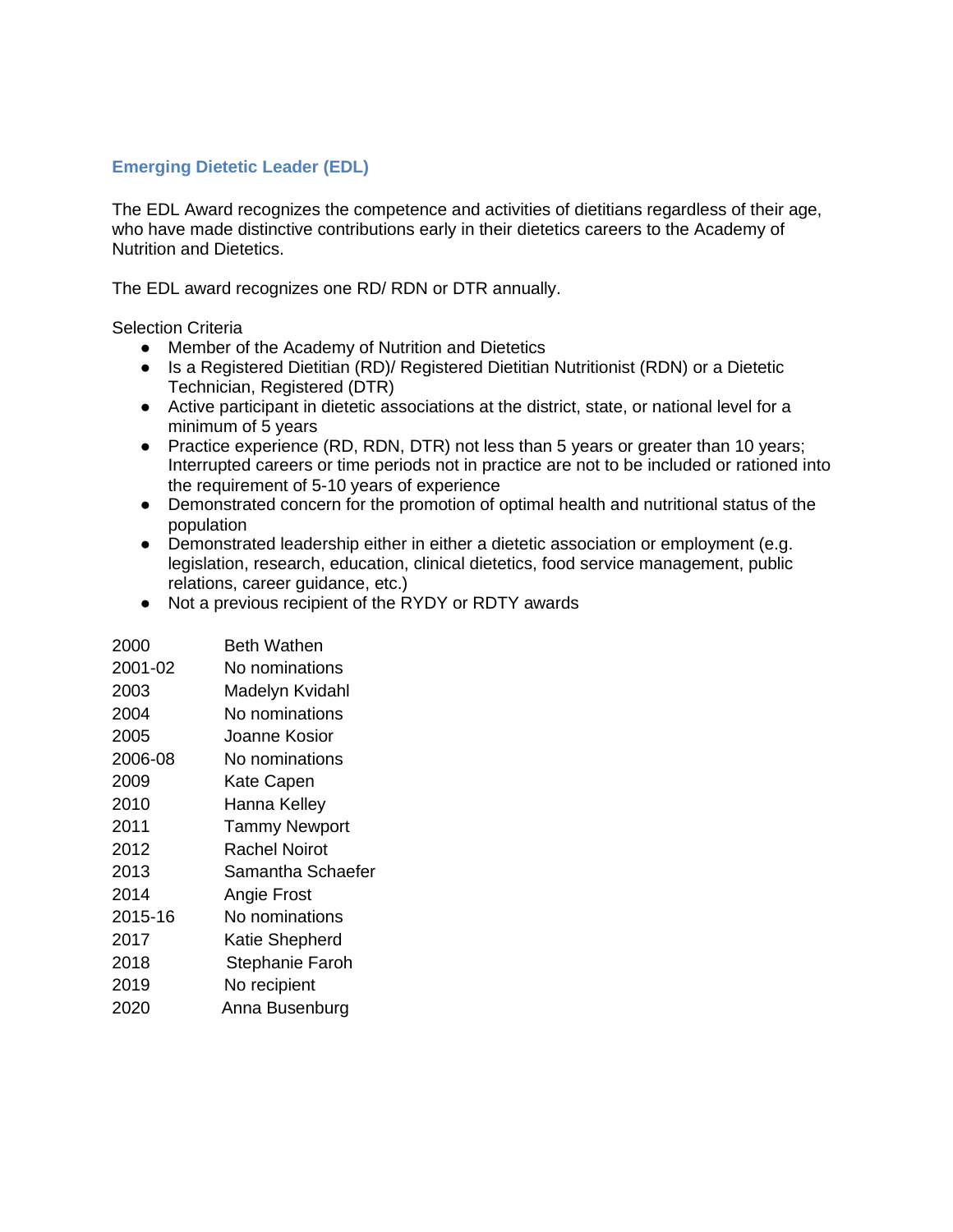# **Emerging Dietetic Leader (EDL)**

The EDL Award recognizes the competence and activities of dietitians regardless of their age, who have made distinctive contributions early in their dietetics careers to the Academy of Nutrition and Dietetics.

The EDL award recognizes one RD/ RDN or DTR annually.

Selection Criteria

- Member of the Academy of Nutrition and Dietetics
- Is a Registered Dietitian (RD)/ Registered Dietitian Nutritionist (RDN) or a Dietetic Technician, Registered (DTR)
- Active participant in dietetic associations at the district, state, or national level for a minimum of 5 years
- Practice experience (RD, RDN, DTR) not less than 5 years or greater than 10 years; Interrupted careers or time periods not in practice are not to be included or rationed into the requirement of 5-10 years of experience
- Demonstrated concern for the promotion of optimal health and nutritional status of the population
- Demonstrated leadership either in either a dietetic association or employment (e.g. legislation, research, education, clinical dietetics, food service management, public relations, career guidance, etc.)
- Not a previous recipient of the RYDY or RDTY awards

| 2000    | Beth Wathen            |
|---------|------------------------|
| 2001-02 | No nominations         |
| 2003    | Madelyn Kvidahl        |
| 2004    | No nominations         |
| 2005    | Joanne Kosior          |
| 2006-08 | No nominations         |
| 2009    | Kate Capen             |
| 2010    | Hanna Kelley           |
| 2011    | <b>Tammy Newport</b>   |
| 2012    | Rachel Noirot          |
| 2013    | Samantha Schaefer      |
| 2014    | Angie Frost            |
| 2015-16 | No nominations         |
| 2017    | Katie Shepherd         |
| 2018    | <b>Stephanie Faroh</b> |
| 2019    | No recipient           |
| 2020    | Anna Busenburg         |